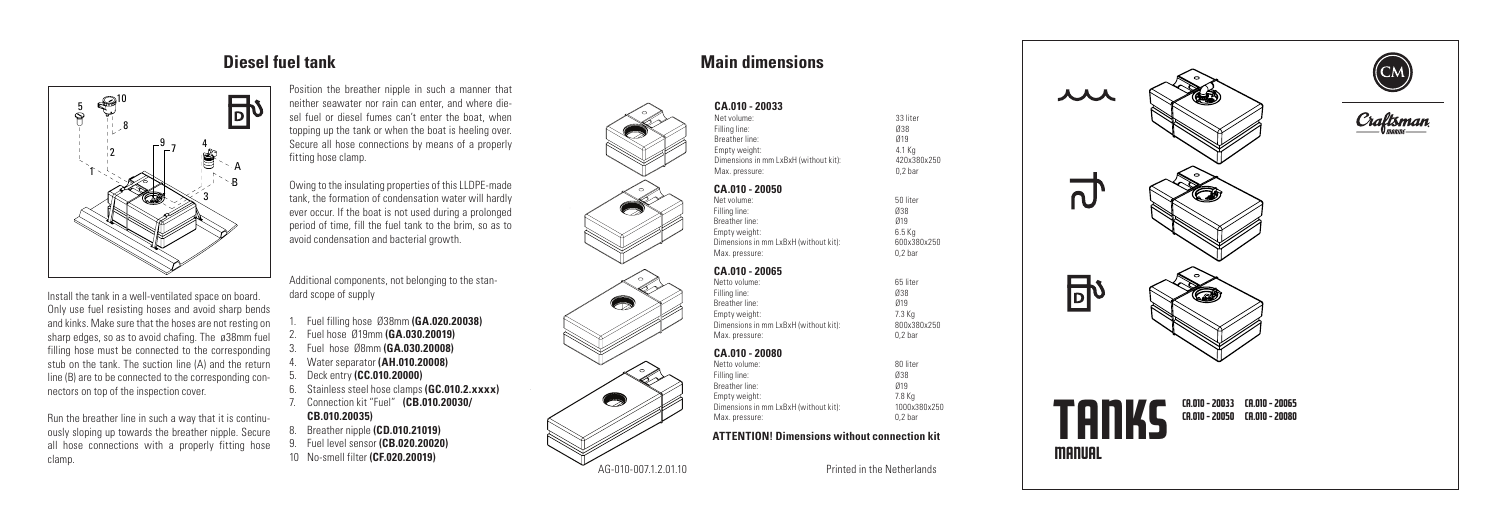Position the breather nipple in such a manner that **CA.010 - 20033 CA.010 - 20033** sel fuel or diesel fumes can't enter the boat, when topping up the tank or when the boat is heeling over. Secure all hose connections by means of a properly fitting hose clamp.

> Owing to the insulating properties of this LLDPE-made tank, the formation of condensation water will hardly ever occur. If the boat is not used during a prolonged period of time, fill the fuel tank to the brim, so as to avoid condensation and bacterial growth.

Additional components, not belonging to the standard scope of supply

- 1. Fuel filling hose Ø38mm **(GA.020.20038)**
- 2. Fuel hose Ø19mm **(GA.030.20019)**
- 3. Fuel hose Ø8mm **(GA.030.20008)**
- 4. Water separator **(AH.010.20008)**
- 5. Deck entry **(CC.010.20000)**
- 6. Stainless steel hose clamps **(GC.010.2.xxxx)**
- 7. Connection kit "Fuel" **(CB.010.20030/ CB.010.20035)**
- 8. Breather nipple **(CD.010.21019)**
- 
- 9. Fuel level sensor **(CB.020.20020)**
- 10 No-smell filter **(CF.020.20019)**

Install the tank in a well-ventilated space on board. Only use fuel resisting hoses and avoid sharp bends and kinks. Make sure that the hoses are not resting on sharp edges, so as to avoid chafing. The ø38mm fuel filling hose must be connected to the corresponding stub on the tank. The suction line (A) and the return line (B) are to be connected to the corresponding connectors on top of the inspection cover.

Run the breather line in such a way that it is continuously sloping up towards the breather nipple. Secure all hose connections with a properly fitting hose clamp.



| Net volume:<br>Filling line:<br>Breather line:         | 33 liter<br>038<br>019 |
|--------------------------------------------------------|------------------------|
| Empty weight:<br>Dimensions in mm LxBxH (without kit): | 4.1 Kg<br>420x380x250  |
| Max. pressure:                                         | 0.2 <sub>bar</sub>     |
| CA.010 - 20050                                         |                        |
| Net volume:                                            | 50 liter               |
| Filling line:                                          | 038                    |
| Breather line:                                         | 019                    |
| Empty weight:                                          | $6.5$ Kg               |
| Dimensions in mm LxBxH (without kit):                  | 600x380x250            |
| Max. pressure:                                         | 0.2 <sub>bar</sub>     |
| CA.010 - 20065                                         |                        |
| Netto volume:                                          | 65 liter               |

| Netto volume:                         | 65 liter           |
|---------------------------------------|--------------------|
| Filling line:                         | 038                |
| Breather line:                        | 019                |
| Empty weight:                         | 7.3 Ka             |
| Dimensions in mm LxBxH (without kit): | 800x380x250        |
| Max. pressure:                        | 0.2 <sub>bar</sub> |
|                                       |                    |

# **CA.010 - 20080**

| Netto volume:                         | 80 liter           |
|---------------------------------------|--------------------|
| Filling line:                         | 038                |
| Breather line:                        | 019                |
| Empty weight:                         | 7.8 Ka             |
| Dimensions in mm LxBxH (without kit): | 1000x380x250       |
| Max. pressure:                        | 0.2 <sub>bar</sub> |
|                                       |                    |

**ATTENTION! Dimensions without connection kit**







Craftsman











e<br>Chi

AG-010-007.1.2.01.10 Printed in the Netherlands

人人